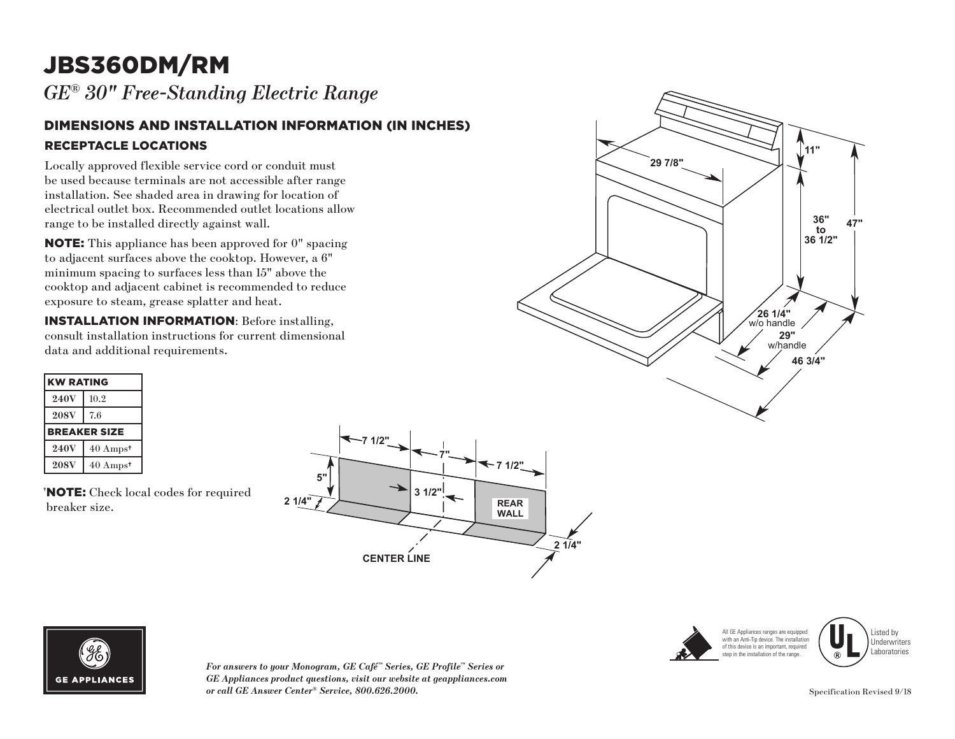# JBS360DM/RM

*GE® 30" Free-Standing Electric Range* 

#### DIMENSIONS AND INSTALLATION INFORMATION (IN INCHES) RECEPTACLE LOCATIONS

Locally approved flexible service cord or conduit must be used because terminals are not accessible after range installation. See shaded area in drawing for location of electrical outlet box. Recommended outlet locations allow range to be installed directly against wall.

NOTE: This appliance has been approved for 0" spacing to adjacent surfaces above the cooktop. However, a 6" minimum spacing to surfaces less than 15" above the cooktop and adjacent cabinet is recommended to reduce exposure to steam, grease splatter and heat.

INSTALLATION INFORMATION: Before installing, consult installation instructions for current dimensional data and additional requirements.

| <b>KW RATING</b> |                             |
|------------------|-----------------------------|
| <b>240V</b>      | 10.2                        |
| <b>208V</b>      | 7.6                         |
|                  | <b>BREAKER SIZE</b>         |
| <b>240V</b>      | $40 \text{ Amps}^{\dagger}$ |
| <b>208V</b>      | $40 \text{ Amps}^{\dagger}$ |

† NOTE: Check local codes for required breaker size.





*For answers to your Monogram, GE Café™ Series, GE Profile™ Series or GE Appliances product questions, visit our website at geappliances.com or call GE Answer Center® Service, 800.626.2000.*





Listed by Underwriters Laboratories